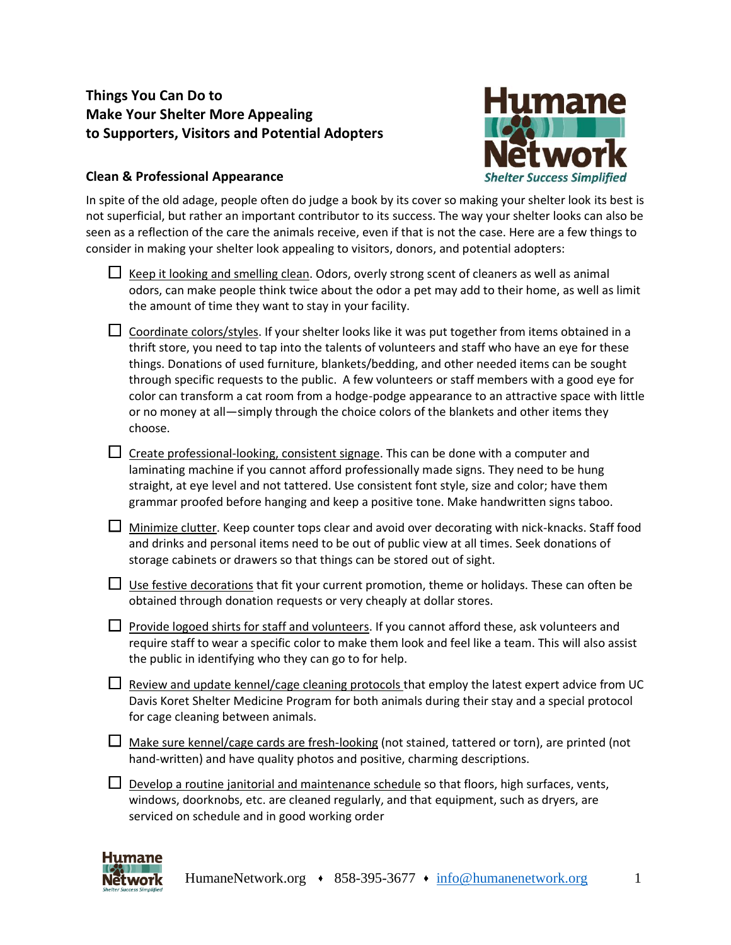# **Things You Can Do to Make Your Shelter More Appealing to Supporters, Visitors and Potential Adopters**



## **Clean & Professional Appearance**

In spite of the old adage, people often do judge a book by its cover so making your shelter look its best is not superficial, but rather an important contributor to its success. The way your shelter looks can also be seen as a reflection of the care the animals receive, even if that is not the case. Here are a few things to consider in making your shelter look appealing to visitors, donors, and potential adopters:

- $\Box$  Keep it looking and smelling clean. Odors, overly strong scent of cleaners as well as animal odors, can make people think twice about the odor a pet may add to their home, as well as limit the amount of time they want to stay in your facility.
- $\Box$  Coordinate colors/styles. If your shelter looks like it was put together from items obtained in a thrift store, you need to tap into the talents of volunteers and staff who have an eye for these things. Donations of used furniture, blankets/bedding, and other needed items can be sought through specific requests to the public. A few volunteers or staff members with a good eye for color can transform a cat room from a hodge-podge appearance to an attractive space with little or no money at all—simply through the choice colors of the blankets and other items they choose.
- $\Box$  Create professional-looking, consistent signage. This can be done with a computer and laminating machine if you cannot afford professionally made signs. They need to be hung straight, at eye level and not tattered. Use consistent font style, size and color; have them grammar proofed before hanging and keep a positive tone. Make handwritten signs taboo.
- $\Box$  Minimize clutter. Keep counter tops clear and avoid over decorating with nick-knacks. Staff food and drinks and personal items need to be out of public view at all times. Seek donations of storage cabinets or drawers so that things can be stored out of sight.
- $\Box$  Use festive decorations that fit your current promotion, theme or holidays. These can often be obtained through donation requests or very cheaply at dollar stores.
- $\Box$  Provide logoed shirts for staff and volunteers. If you cannot afford these, ask volunteers and require staff to wear a specific color to make them look and feel like a team. This will also assist the public in identifying who they can go to for help.
- $\Box$  Review and update kennel/cage cleaning protocols that employ the latest expert advice from UC Davis Koret Shelter Medicine Program for both animals during their stay and a special protocol for cage cleaning between animals.
- $\Box$  Make sure kennel/cage cards are fresh-looking (not stained, tattered or torn), are printed (not hand-written) and have quality photos and positive, charming descriptions.
- Develop a routine janitorial and maintenance schedule so that floors, high surfaces, vents, windows, doorknobs, etc. are cleaned regularly, and that equipment, such as dryers, are serviced on schedule and in good working order

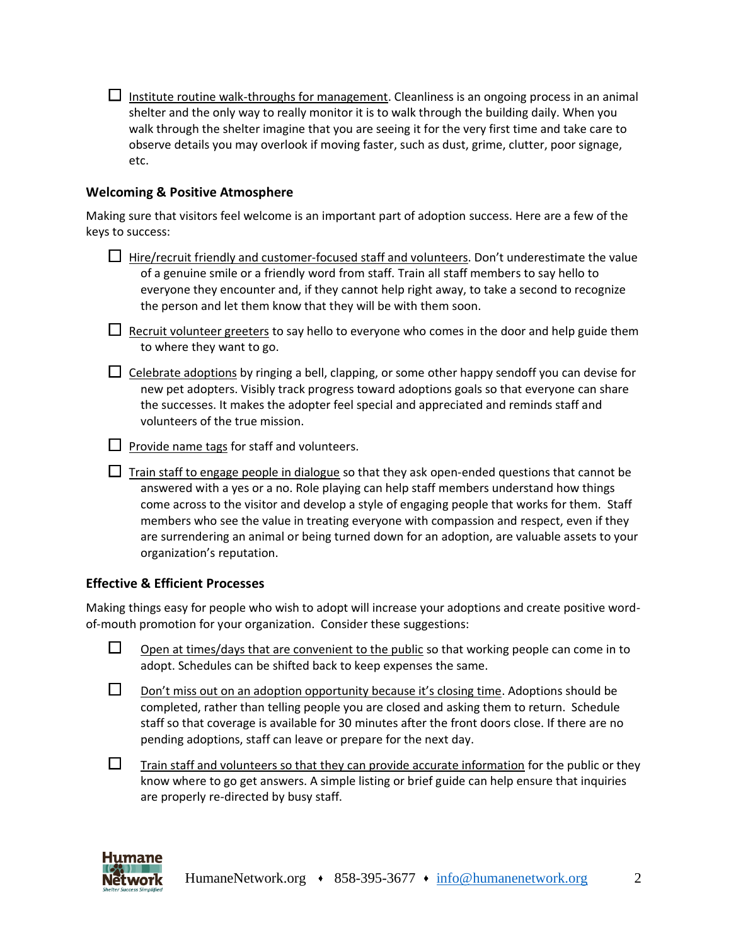$\Box$  Institute routine walk-throughs for management. Cleanliness is an ongoing process in an animal shelter and the only way to really monitor it is to walk through the building daily. When you walk through the shelter imagine that you are seeing it for the very first time and take care to observe details you may overlook if moving faster, such as dust, grime, clutter, poor signage, etc.

#### **Welcoming & Positive Atmosphere**

Making sure that visitors feel welcome is an important part of adoption success. Here are a few of the keys to success:

| $\Box$ Hire/recruit friendly and customer-focused staff and volunteers. Don't underestimate the value |
|-------------------------------------------------------------------------------------------------------|
| of a genuine smile or a friendly word from staff. Train all staff members to say hello to             |
| everyone they encounter and, if they cannot help right away, to take a second to recognize            |
| the person and let them know that they will be with them soon.                                        |

| $\Box$ Recruit volunteer greeters to say hello to everyone who comes in the door and help guide them |
|------------------------------------------------------------------------------------------------------|
| to where they want to go.                                                                            |

 $\Box$  Celebrate adoptions by ringing a bell, clapping, or some other happy sendoff you can devise for new pet adopters. Visibly track progress toward adoptions goals so that everyone can share the successes. It makes the adopter feel special and appreciated and reminds staff and volunteers of the true mission.

 $\Box$  Provide name tags for staff and volunteers.

 $\Box$  Train staff to engage people in dialogue so that they ask open-ended questions that cannot be answered with a yes or a no. Role playing can help staff members understand how things come across to the visitor and develop a style of engaging people that works for them. Staff members who see the value in treating everyone with compassion and respect, even if they are surrendering an animal or being turned down for an adoption, are valuable assets to your organization's reputation.

### **Effective & Efficient Processes**

Making things easy for people who wish to adopt will increase your adoptions and create positive wordof-mouth promotion for your organization. Consider these suggestions:

| Open at times/days that are convenient to the public so that working people can come in to |
|--------------------------------------------------------------------------------------------|
| adopt. Schedules can be shifted back to keep expenses the same.                            |

|  | Don't miss out on an adoption opportunity because it's closing time. Adoptions should be        |
|--|-------------------------------------------------------------------------------------------------|
|  | completed, rather than telling people you are closed and asking them to return. Schedule        |
|  | staff so that coverage is available for 30 minutes after the front doors close. If there are no |
|  | pending adoptions, staff can leave or prepare for the next day.                                 |

 $\Box$ Train staff and volunteers so that they can provide accurate information for the public or they know where to go get answers. A simple listing or brief guide can help ensure that inquiries are properly re-directed by busy staff.